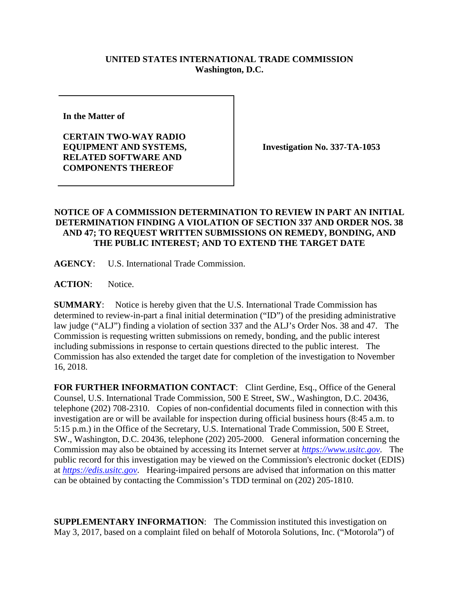## **UNITED STATES INTERNATIONAL TRADE COMMISSION Washington, D.C.**

**In the Matter of** 

**CERTAIN TWO-WAY RADIO EQUIPMENT AND SYSTEMS, RELATED SOFTWARE AND COMPONENTS THEREOF**

**Investigation No. 337-TA-1053**

## **NOTICE OF A COMMISSION DETERMINATION TO REVIEW IN PART AN INITIAL DETERMINATION FINDING A VIOLATION OF SECTION 337 AND ORDER NOS. 38 AND 47; TO REQUEST WRITTEN SUBMISSIONS ON REMEDY, BONDING, AND THE PUBLIC INTEREST; AND TO EXTEND THE TARGET DATE**

**AGENCY**: U.S. International Trade Commission.

ACTION: Notice.

**SUMMARY**: Notice is hereby given that the U.S. International Trade Commission has determined to review-in-part a final initial determination ("ID") of the presiding administrative law judge ("ALJ") finding a violation of section 337 and the ALJ's Order Nos. 38 and 47. The Commission is requesting written submissions on remedy, bonding, and the public interest including submissions in response to certain questions directed to the public interest. The Commission has also extended the target date for completion of the investigation to November 16, 2018.

FOR FURTHER INFORMATION CONTACT: Clint Gerdine, Esq., Office of the General Counsel, U.S. International Trade Commission, 500 E Street, SW., Washington, D.C. 20436, telephone (202) 708-2310. Copies of non-confidential documents filed in connection with this investigation are or will be available for inspection during official business hours (8:45 a.m. to 5:15 p.m.) in the Office of the Secretary, U.S. International Trade Commission, 500 E Street, SW., Washington, D.C. 20436, telephone (202) 205-2000. General information concerning the Commission may also be obtained by accessing its Internet server at *[https://www.usitc.gov](https://www.usitc.gov/)*. The public record for this investigation may be viewed on the Commission's electronic docket (EDIS) at *[https://edis.usitc.gov](https://edis.usitc.gov/)*. Hearing-impaired persons are advised that information on this matter can be obtained by contacting the Commission's TDD terminal on (202) 205-1810.

**SUPPLEMENTARY INFORMATION**: The Commission instituted this investigation on May 3, 2017, based on a complaint filed on behalf of Motorola Solutions, Inc. ("Motorola") of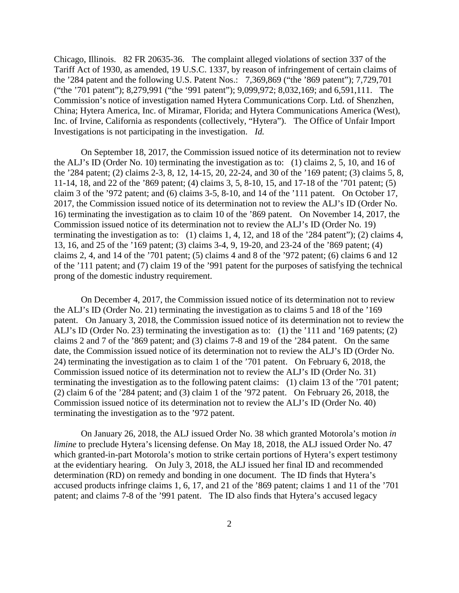Chicago, Illinois. 82 FR 20635-36. The complaint alleged violations of section 337 of the Tariff Act of 1930, as amended, 19 U.S.C. 1337, by reason of infringement of certain claims of the '284 patent and the following U.S. Patent Nos.: 7,369,869 ("the '869 patent"); 7,729,701 ("the '701 patent"); 8,279,991 ("the '991 patent"); 9,099,972; 8,032,169; and 6,591,111. The Commission's notice of investigation named Hytera Communications Corp. Ltd. of Shenzhen, China; Hytera America, Inc. of Miramar, Florida; and Hytera Communications America (West), Inc. of Irvine, California as respondents (collectively, "Hytera"). The Office of Unfair Import Investigations is not participating in the investigation. *Id.* 

On September 18, 2017, the Commission issued notice of its determination not to review the ALJ's ID (Order No. 10) terminating the investigation as to: (1) claims 2, 5, 10, and 16 of the '284 patent; (2) claims 2-3, 8, 12, 14-15, 20, 22-24, and 30 of the '169 patent; (3) claims 5, 8, 11-14, 18, and 22 of the '869 patent; (4) claims 3, 5, 8-10, 15, and 17-18 of the '701 patent; (5) claim 3 of the '972 patent; and (6) claims 3-5, 8-10, and 14 of the '111 patent. On October 17, 2017, the Commission issued notice of its determination not to review the ALJ's ID (Order No. 16) terminating the investigation as to claim 10 of the '869 patent. On November 14, 2017, the Commission issued notice of its determination not to review the ALJ's ID (Order No. 19) terminating the investigation as to: (1) claims 1, 4, 12, and 18 of the '284 patent"); (2) claims 4, 13, 16, and 25 of the '169 patent; (3) claims 3-4, 9, 19-20, and 23-24 of the '869 patent; (4) claims 2, 4, and 14 of the '701 patent; (5) claims 4 and 8 of the '972 patent; (6) claims 6 and 12 of the '111 patent; and (7) claim 19 of the '991 patent for the purposes of satisfying the technical prong of the domestic industry requirement.

On December 4, 2017, the Commission issued notice of its determination not to review the ALJ's ID (Order No. 21) terminating the investigation as to claims 5 and 18 of the '169 patent. On January 3, 2018, the Commission issued notice of its determination not to review the ALJ's ID (Order No. 23) terminating the investigation as to: (1) the '111 and '169 patents; (2) claims 2 and 7 of the '869 patent; and (3) claims 7-8 and 19 of the '284 patent. On the same date, the Commission issued notice of its determination not to review the ALJ's ID (Order No. 24) terminating the investigation as to claim 1 of the '701 patent. On February 6, 2018, the Commission issued notice of its determination not to review the ALJ's ID (Order No. 31) terminating the investigation as to the following patent claims: (1) claim 13 of the '701 patent; (2) claim 6 of the '284 patent; and (3) claim 1 of the '972 patent. On February 26, 2018, the Commission issued notice of its determination not to review the ALJ's ID (Order No. 40) terminating the investigation as to the '972 patent.

On January 26, 2018, the ALJ issued Order No. 38 which granted Motorola's motion *in limine* to preclude Hytera's licensing defense. On May 18, 2018, the ALJ issued Order No. 47 which granted-in-part Motorola's motion to strike certain portions of Hytera's expert testimony at the evidentiary hearing. On July 3, 2018, the ALJ issued her final ID and recommended determination (RD) on remedy and bonding in one document. The ID finds that Hytera's accused products infringe claims 1, 6, 17, and 21 of the '869 patent; claims 1 and 11 of the '701 patent; and claims 7-8 of the '991 patent. The ID also finds that Hytera's accused legacy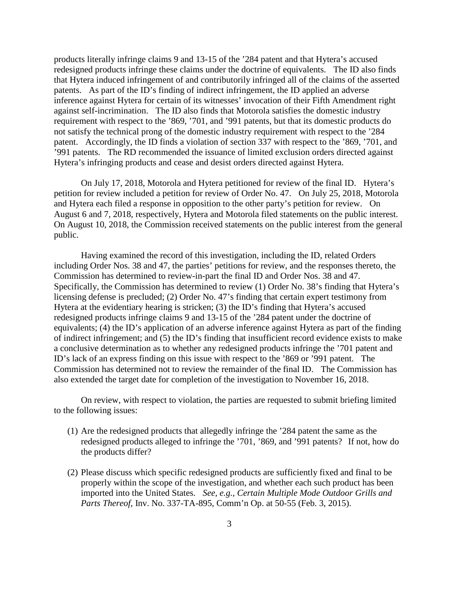products literally infringe claims 9 and 13-15 of the '284 patent and that Hytera's accused redesigned products infringe these claims under the doctrine of equivalents. The ID also finds that Hytera induced infringement of and contributorily infringed all of the claims of the asserted patents. As part of the ID's finding of indirect infringement, the ID applied an adverse inference against Hytera for certain of its witnesses' invocation of their Fifth Amendment right against self-incrimination. The ID also finds that Motorola satisfies the domestic industry requirement with respect to the '869, '701, and '991 patents, but that its domestic products do not satisfy the technical prong of the domestic industry requirement with respect to the '284 patent. Accordingly, the ID finds a violation of section 337 with respect to the '869, '701, and '991 patents. The RD recommended the issuance of limited exclusion orders directed against Hytera's infringing products and cease and desist orders directed against Hytera.

On July 17, 2018, Motorola and Hytera petitioned for review of the final ID. Hytera's petition for review included a petition for review of Order No. 47. On July 25, 2018, Motorola and Hytera each filed a response in opposition to the other party's petition for review. On August 6 and 7, 2018, respectively, Hytera and Motorola filed statements on the public interest. On August 10, 2018, the Commission received statements on the public interest from the general public.

Having examined the record of this investigation, including the ID, related Orders including Order Nos. 38 and 47, the parties' petitions for review, and the responses thereto, the Commission has determined to review-in-part the final ID and Order Nos. 38 and 47. Specifically, the Commission has determined to review (1) Order No. 38's finding that Hytera's licensing defense is precluded; (2) Order No. 47's finding that certain expert testimony from Hytera at the evidentiary hearing is stricken; (3) the ID's finding that Hytera's accused redesigned products infringe claims 9 and 13-15 of the '284 patent under the doctrine of equivalents; (4) the ID's application of an adverse inference against Hytera as part of the finding of indirect infringement; and (5) the ID's finding that insufficient record evidence exists to make a conclusive determination as to whether any redesigned products infringe the '701 patent and ID's lack of an express finding on this issue with respect to the '869 or '991 patent. The Commission has determined not to review the remainder of the final ID. The Commission has also extended the target date for completion of the investigation to November 16, 2018.

On review, with respect to violation, the parties are requested to submit briefing limited to the following issues:

- (1) Are the redesigned products that allegedly infringe the '284 patent the same as the redesigned products alleged to infringe the '701, '869, and '991 patents? If not, how do the products differ?
- (2) Please discuss which specific redesigned products are sufficiently fixed and final to be properly within the scope of the investigation, and whether each such product has been imported into the United States. *See, e.g.*, *Certain Multiple Mode Outdoor Grills and Parts Thereof*, Inv. No. 337-TA-895, Comm'n Op. at 50-55 (Feb. 3, 2015).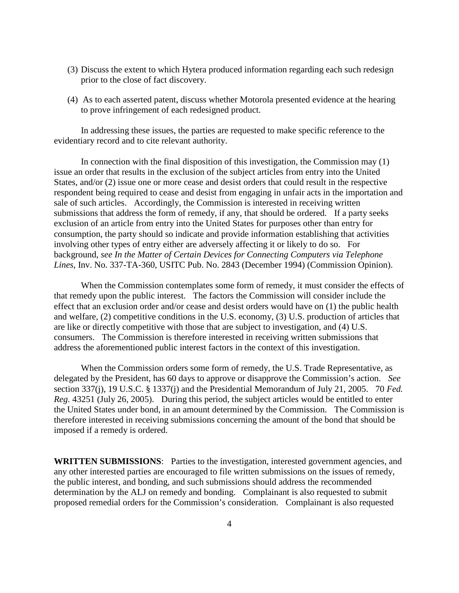- (3) Discuss the extent to which Hytera produced information regarding each such redesign prior to the close of fact discovery.
- (4) As to each asserted patent, discuss whether Motorola presented evidence at the hearing to prove infringement of each redesigned product.

In addressing these issues, the parties are requested to make specific reference to the evidentiary record and to cite relevant authority.

In connection with the final disposition of this investigation, the Commission may (1) issue an order that results in the exclusion of the subject articles from entry into the United States, and/or (2) issue one or more cease and desist orders that could result in the respective respondent being required to cease and desist from engaging in unfair acts in the importation and sale of such articles. Accordingly, the Commission is interested in receiving written submissions that address the form of remedy, if any, that should be ordered. If a party seeks exclusion of an article from entry into the United States for purposes other than entry for consumption, the party should so indicate and provide information establishing that activities involving other types of entry either are adversely affecting it or likely to do so. For background, *see In the Matter of Certain Devices for Connecting Computers via Telephone Lines*, Inv. No. 337-TA-360, USITC Pub. No. 2843 (December 1994) (Commission Opinion).

When the Commission contemplates some form of remedy, it must consider the effects of that remedy upon the public interest. The factors the Commission will consider include the effect that an exclusion order and/or cease and desist orders would have on (1) the public health and welfare, (2) competitive conditions in the U.S. economy, (3) U.S. production of articles that are like or directly competitive with those that are subject to investigation, and (4) U.S. consumers. The Commission is therefore interested in receiving written submissions that address the aforementioned public interest factors in the context of this investigation.

When the Commission orders some form of remedy, the U.S. Trade Representative, as delegated by the President, has 60 days to approve or disapprove the Commission's action. *See*  section 337(j), 19 U.S.C. § 1337(j) and the Presidential Memorandum of July 21, 2005. 70 *Fed. Reg.* 43251 (July 26, 2005). During this period, the subject articles would be entitled to enter the United States under bond, in an amount determined by the Commission. The Commission is therefore interested in receiving submissions concerning the amount of the bond that should be imposed if a remedy is ordered.

**WRITTEN SUBMISSIONS**: Parties to the investigation, interested government agencies, and any other interested parties are encouraged to file written submissions on the issues of remedy, the public interest, and bonding, and such submissions should address the recommended determination by the ALJ on remedy and bonding. Complainant is also requested to submit proposed remedial orders for the Commission's consideration. Complainant is also requested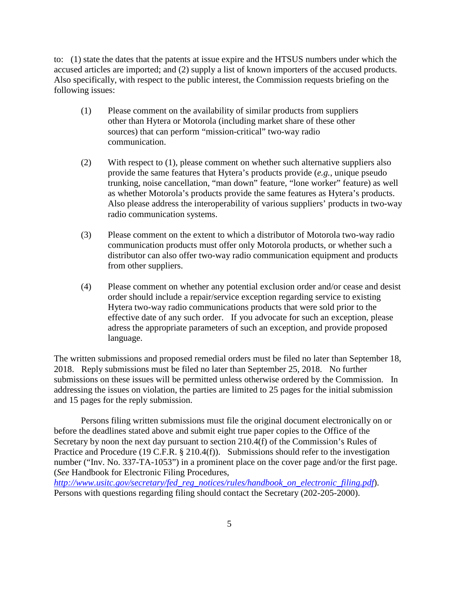to: (1) state the dates that the patents at issue expire and the HTSUS numbers under which the accused articles are imported; and (2) supply a list of known importers of the accused products. Also specifically, with respect to the public interest, the Commission requests briefing on the following issues:

- (1) Please comment on the availability of similar products from suppliers other than Hytera or Motorola (including market share of these other sources) that can perform "mission-critical" two-way radio communication.
- (2) With respect to (1), please comment on whether such alternative suppliers also provide the same features that Hytera's products provide (*e.g.*, unique pseudo trunking, noise cancellation, "man down" feature, "lone worker" feature) as well as whether Motorola's products provide the same features as Hytera's products. Also please address the interoperability of various suppliers' products in two-way radio communication systems.
- (3) Please comment on the extent to which a distributor of Motorola two-way radio communication products must offer only Motorola products, or whether such a distributor can also offer two-way radio communication equipment and products from other suppliers.
- (4) Please comment on whether any potential exclusion order and/or cease and desist order should include a repair/service exception regarding service to existing Hytera two-way radio communications products that were sold prior to the effective date of any such order. If you advocate for such an exception, please adress the appropriate parameters of such an exception, and provide proposed language.

The written submissions and proposed remedial orders must be filed no later than September 18, 2018. Reply submissions must be filed no later than September 25, 2018. No further submissions on these issues will be permitted unless otherwise ordered by the Commission. In addressing the issues on violation, the parties are limited to 25 pages for the initial submission and 15 pages for the reply submission.

Persons filing written submissions must file the original document electronically on or before the deadlines stated above and submit eight true paper copies to the Office of the Secretary by noon the next day pursuant to section 210.4(f) of the Commission's Rules of Practice and Procedure (19 C.F.R. § 210.4(f)). Submissions should refer to the investigation number ("Inv. No. 337-TA-1053") in a prominent place on the cover page and/or the first page. (*See* Handbook for Electronic Filing Procedures,

*[http://www.usitc.gov/secretary/fed\\_reg\\_notices/rules/handbook\\_on\\_electronic\\_filing.pdf](http://www.usitc.gov/secretary/fed_reg_notices/rules/handbook_on_electronic_filing.pdf)*). Persons with questions regarding filing should contact the Secretary (202-205-2000).